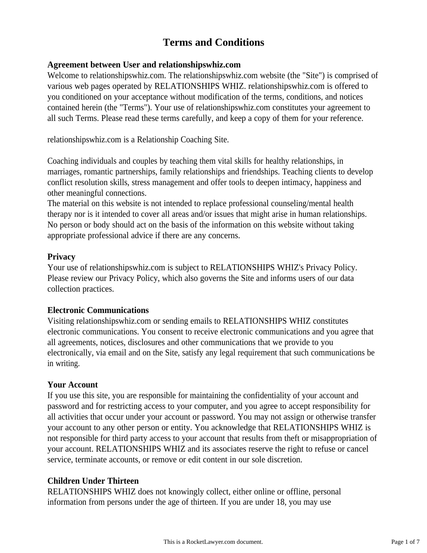# **Terms and Conditions**

#### **Agreement between User and relationshipswhiz.com**

Welcome to relationshipswhiz.com. The relationshipswhiz.com website (the "Site") is comprised of various web pages operated by RELATIONSHIPS WHIZ. relationshipswhiz.com is offered to you conditioned on your acceptance without modification of the terms, conditions, and notices contained herein (the "Terms"). Your use of relationshipswhiz.com constitutes your agreement to all such Terms. Please read these terms carefully, and keep a copy of them for your reference.

relationshipswhiz.com is a Relationship Coaching Site.

Coaching individuals and couples by teaching them vital skills for healthy relationships, in marriages, romantic partnerships, family relationships and friendships. Teaching clients to develop conflict resolution skills, stress management and offer tools to deepen intimacy, happiness and other meaningful connections.

The material on this website is not intended to replace professional counseling/mental health therapy nor is it intended to cover all areas and/or issues that might arise in human relationships. No person or body should act on the basis of the information on this website without taking appropriate professional advice if there are any concerns.

#### **Privacy**

Your use of relationshipswhiz.com is subject to RELATIONSHIPS WHIZ's Privacy Policy. Please review our Privacy Policy, which also governs the Site and informs users of our data collection practices.

# **Electronic Communications**

Visiting relationshipswhiz.com or sending emails to RELATIONSHIPS WHIZ constitutes electronic communications. You consent to receive electronic communications and you agree that all agreements, notices, disclosures and other communications that we provide to you electronically, via email and on the Site, satisfy any legal requirement that such communications be in writing.

# **Your Account**

If you use this site, you are responsible for maintaining the confidentiality of your account and password and for restricting access to your computer, and you agree to accept responsibility for all activities that occur under your account or password. You may not assign or otherwise transfer your account to any other person or entity. You acknowledge that RELATIONSHIPS WHIZ is not responsible for third party access to your account that results from theft or misappropriation of your account. RELATIONSHIPS WHIZ and its associates reserve the right to refuse or cancel service, terminate accounts, or remove or edit content in our sole discretion.

# **Children Under Thirteen**

RELATIONSHIPS WHIZ does not knowingly collect, either online or offline, personal information from persons under the age of thirteen. If you are under 18, you may use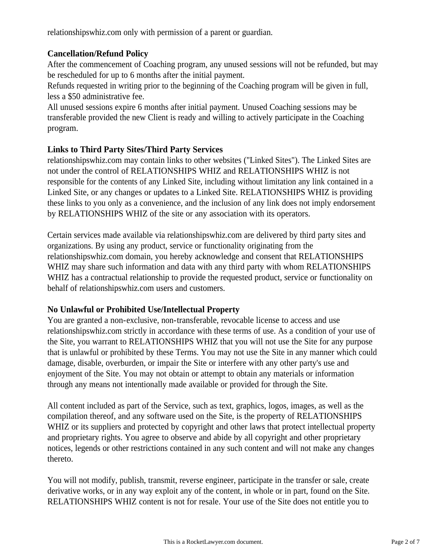relationshipswhiz.com only with permission of a parent or guardian.

# **Cancellation/Refund Policy**

After the commencement of Coaching program, any unused sessions will not be refunded, but may be rescheduled for up to 6 months after the initial payment.

Refunds requested in writing prior to the beginning of the Coaching program will be given in full, less a \$50 administrative fee.

All unused sessions expire 6 months after initial payment. Unused Coaching sessions may be transferable provided the new Client is ready and willing to actively participate in the Coaching program.

# **Links to Third Party Sites/Third Party Services**

relationshipswhiz.com may contain links to other websites ("Linked Sites"). The Linked Sites are not under the control of RELATIONSHIPS WHIZ and RELATIONSHIPS WHIZ is not responsible for the contents of any Linked Site, including without limitation any link contained in a Linked Site, or any changes or updates to a Linked Site. RELATIONSHIPS WHIZ is providing these links to you only as a convenience, and the inclusion of any link does not imply endorsement by RELATIONSHIPS WHIZ of the site or any association with its operators.

Certain services made available via relationshipswhiz.com are delivered by third party sites and organizations. By using any product, service or functionality originating from the relationshipswhiz.com domain, you hereby acknowledge and consent that RELATIONSHIPS WHIZ may share such information and data with any third party with whom RELATIONSHIPS WHIZ has a contractual relationship to provide the requested product, service or functionality on behalf of relationshipswhiz.com users and customers.

# **No Unlawful or Prohibited Use/Intellectual Property**

You are granted a non-exclusive, non-transferable, revocable license to access and use relationshipswhiz.com strictly in accordance with these terms of use. As a condition of your use of the Site, you warrant to RELATIONSHIPS WHIZ that you will not use the Site for any purpose that is unlawful or prohibited by these Terms. You may not use the Site in any manner which could damage, disable, overburden, or impair the Site or interfere with any other party's use and enjoyment of the Site. You may not obtain or attempt to obtain any materials or information through any means not intentionally made available or provided for through the Site.

All content included as part of the Service, such as text, graphics, logos, images, as well as the compilation thereof, and any software used on the Site, is the property of RELATIONSHIPS WHIZ or its suppliers and protected by copyright and other laws that protect intellectual property and proprietary rights. You agree to observe and abide by all copyright and other proprietary notices, legends or other restrictions contained in any such content and will not make any changes thereto.

You will not modify, publish, transmit, reverse engineer, participate in the transfer or sale, create derivative works, or in any way exploit any of the content, in whole or in part, found on the Site. RELATIONSHIPS WHIZ content is not for resale. Your use of the Site does not entitle you to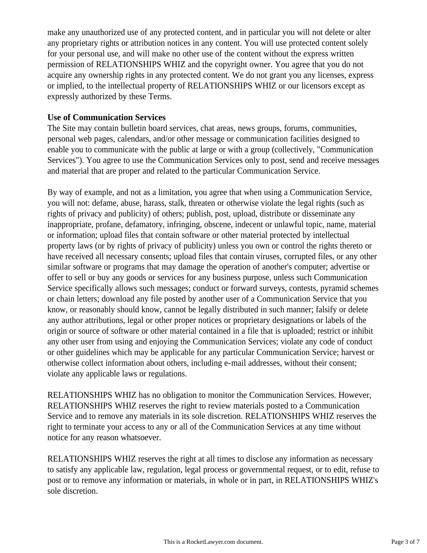make any unauthorized use of any protected content, and in particular you will not delete or alter any proprietary rights or attribution notices in any content. You will use protected content solely for your personal use, and will make no other use of the content without the express written permission of RELATIONSHIPS WHIZ and the copyright owner. You agree that you do not acquire any ownership rights in any protected content. We do not grant you any licenses, express or implied, to the intellectual property of RELATIONSHIPS WHIZ or our licensors except as expressly authorized by these Terms.

#### **Use of Communication Services**

The Site may contain bulletin board services, chat areas, news groups, forums, communities, personal web pages, calendars, and/or other message or communication facilities designed to enable you to communicate with the public at large or with a group (collectively, "Communication Services"). You agree to use the Communication Services only to post, send and receive messages and material that are proper and related to the particular Communication Service.

By way of example, and not as a limitation, you agree that when using a Communication Service, you will not: defame, abuse, harass, stalk, threaten or otherwise violate the legal rights (such as rights of privacy and publicity) of others; publish, post, upload, distribute or disseminate any inappropriate, profane, defamatory, infringing, obscene, indecent or unlawful topic, name, material or information; upload files that contain software or other material protected by intellectual property laws (or by rights of privacy of publicity) unless you own or control the rights thereto or have received all necessary consents; upload files that contain viruses, corrupted files, or any other similar software or programs that may damage the operation of another's computer; advertise or offer to sell or buy any goods or services for any business purpose, unless such Communication Service specifically allows such messages; conduct or forward surveys, contests, pyramid schemes or chain letters; download any file posted by another user of a Communication Service that you know, or reasonably should know, cannot be legally distributed in such manner; falsify or delete any author attributions, legal or other proper notices or proprietary designations or labels of the origin or source of software or other material contained in a file that is uploaded; restrict or inhibit any other user from using and enjoying the Communication Services; violate any code of conduct or other guidelines which may be applicable for any particular Communication Service; harvest or otherwise collect information about others, including e-mail addresses, without their consent; violate any applicable laws or regulations.

RELATIONSHIPS WHIZ has no obligation to monitor the Communication Services. However, RELATIONSHIPS WHIZ reserves the right to review materials posted to a Communication Service and to remove any materials in its sole discretion. RELATIONSHIPS WHIZ reserves the right to terminate your access to any or all of the Communication Services at any time without notice for any reason whatsoever.

RELATIONSHIPS WHIZ reserves the right at all times to disclose any information as necessary to satisfy any applicable law, regulation, legal process or governmental request, or to edit, refuse to post or to remove any information or materials, in whole or in part, in RELATIONSHIPS WHIZ's sole discretion.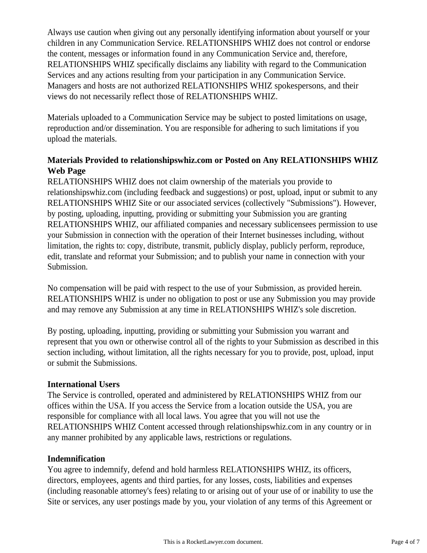Always use caution when giving out any personally identifying information about yourself or your children in any Communication Service. RELATIONSHIPS WHIZ does not control or endorse the content, messages or information found in any Communication Service and, therefore, RELATIONSHIPS WHIZ specifically disclaims any liability with regard to the Communication Services and any actions resulting from your participation in any Communication Service. Managers and hosts are not authorized RELATIONSHIPS WHIZ spokespersons, and their views do not necessarily reflect those of RELATIONSHIPS WHIZ.

Materials uploaded to a Communication Service may be subject to posted limitations on usage, reproduction and/or dissemination. You are responsible for adhering to such limitations if you upload the materials.

# **Materials Provided to relationshipswhiz.com or Posted on Any RELATIONSHIPS WHIZ Web Page**

RELATIONSHIPS WHIZ does not claim ownership of the materials you provide to relationshipswhiz.com (including feedback and suggestions) or post, upload, input or submit to any RELATIONSHIPS WHIZ Site or our associated services (collectively "Submissions"). However, by posting, uploading, inputting, providing or submitting your Submission you are granting RELATIONSHIPS WHIZ, our affiliated companies and necessary sublicensees permission to use your Submission in connection with the operation of their Internet businesses including, without limitation, the rights to: copy, distribute, transmit, publicly display, publicly perform, reproduce, edit, translate and reformat your Submission; and to publish your name in connection with your Submission.

No compensation will be paid with respect to the use of your Submission, as provided herein. RELATIONSHIPS WHIZ is under no obligation to post or use any Submission you may provide and may remove any Submission at any time in RELATIONSHIPS WHIZ's sole discretion.

By posting, uploading, inputting, providing or submitting your Submission you warrant and represent that you own or otherwise control all of the rights to your Submission as described in this section including, without limitation, all the rights necessary for you to provide, post, upload, input or submit the Submissions.

# **International Users**

The Service is controlled, operated and administered by RELATIONSHIPS WHIZ from our offices within the USA. If you access the Service from a location outside the USA, you are responsible for compliance with all local laws. You agree that you will not use the RELATIONSHIPS WHIZ Content accessed through relationshipswhiz.com in any country or in any manner prohibited by any applicable laws, restrictions or regulations.

#### **Indemnification**

You agree to indemnify, defend and hold harmless RELATIONSHIPS WHIZ, its officers, directors, employees, agents and third parties, for any losses, costs, liabilities and expenses (including reasonable attorney's fees) relating to or arising out of your use of or inability to use the Site or services, any user postings made by you, your violation of any terms of this Agreement or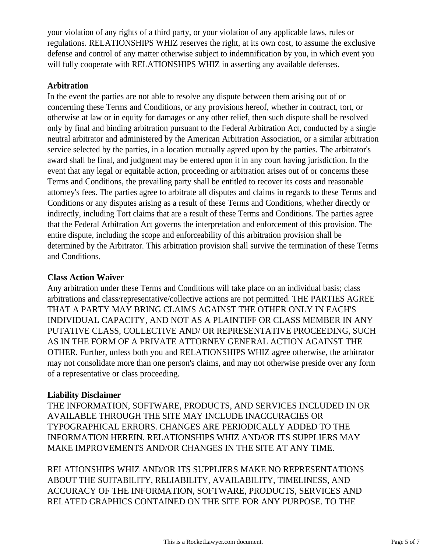your violation of any rights of a third party, or your violation of any applicable laws, rules or regulations. RELATIONSHIPS WHIZ reserves the right, at its own cost, to assume the exclusive defense and control of any matter otherwise subject to indemnification by you, in which event you will fully cooperate with RELATIONSHIPS WHIZ in asserting any available defenses.

#### **Arbitration**

In the event the parties are not able to resolve any dispute between them arising out of or concerning these Terms and Conditions, or any provisions hereof, whether in contract, tort, or otherwise at law or in equity for damages or any other relief, then such dispute shall be resolved only by final and binding arbitration pursuant to the Federal Arbitration Act, conducted by a single neutral arbitrator and administered by the American Arbitration Association, or a similar arbitration service selected by the parties, in a location mutually agreed upon by the parties. The arbitrator's award shall be final, and judgment may be entered upon it in any court having jurisdiction. In the event that any legal or equitable action, proceeding or arbitration arises out of or concerns these Terms and Conditions, the prevailing party shall be entitled to recover its costs and reasonable attorney's fees. The parties agree to arbitrate all disputes and claims in regards to these Terms and Conditions or any disputes arising as a result of these Terms and Conditions, whether directly or indirectly, including Tort claims that are a result of these Terms and Conditions. The parties agree that the Federal Arbitration Act governs the interpretation and enforcement of this provision. The entire dispute, including the scope and enforceability of this arbitration provision shall be determined by the Arbitrator. This arbitration provision shall survive the termination of these Terms and Conditions.

#### **Class Action Waiver**

Any arbitration under these Terms and Conditions will take place on an individual basis; class arbitrations and class/representative/collective actions are not permitted. THE PARTIES AGREE THAT A PARTY MAY BRING CLAIMS AGAINST THE OTHER ONLY IN EACH'S INDIVIDUAL CAPACITY, AND NOT AS A PLAINTIFF OR CLASS MEMBER IN ANY PUTATIVE CLASS, COLLECTIVE AND/ OR REPRESENTATIVE PROCEEDING, SUCH AS IN THE FORM OF A PRIVATE ATTORNEY GENERAL ACTION AGAINST THE OTHER. Further, unless both you and RELATIONSHIPS WHIZ agree otherwise, the arbitrator may not consolidate more than one person's claims, and may not otherwise preside over any form of a representative or class proceeding.

# **Liability Disclaimer**

THE INFORMATION, SOFTWARE, PRODUCTS, AND SERVICES INCLUDED IN OR AVAILABLE THROUGH THE SITE MAY INCLUDE INACCURACIES OR TYPOGRAPHICAL ERRORS. CHANGES ARE PERIODICALLY ADDED TO THE INFORMATION HEREIN. RELATIONSHIPS WHIZ AND/OR ITS SUPPLIERS MAY MAKE IMPROVEMENTS AND/OR CHANGES IN THE SITE AT ANY TIME.

RELATIONSHIPS WHIZ AND/OR ITS SUPPLIERS MAKE NO REPRESENTATIONS ABOUT THE SUITABILITY, RELIABILITY, AVAILABILITY, TIMELINESS, AND ACCURACY OF THE INFORMATION, SOFTWARE, PRODUCTS, SERVICES AND RELATED GRAPHICS CONTAINED ON THE SITE FOR ANY PURPOSE. TO THE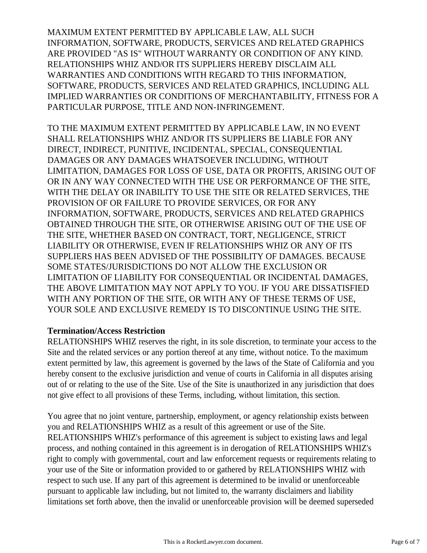MAXIMUM EXTENT PERMITTED BY APPLICABLE LAW, ALL SUCH INFORMATION, SOFTWARE, PRODUCTS, SERVICES AND RELATED GRAPHICS ARE PROVIDED "AS IS" WITHOUT WARRANTY OR CONDITION OF ANY KIND. RELATIONSHIPS WHIZ AND/OR ITS SUPPLIERS HEREBY DISCLAIM ALL WARRANTIES AND CONDITIONS WITH REGARD TO THIS INFORMATION, SOFTWARE, PRODUCTS, SERVICES AND RELATED GRAPHICS, INCLUDING ALL IMPLIED WARRANTIES OR CONDITIONS OF MERCHANTABILITY, FITNESS FOR A PARTICULAR PURPOSE, TITLE AND NON-INFRINGEMENT.

TO THE MAXIMUM EXTENT PERMITTED BY APPLICABLE LAW, IN NO EVENT SHALL RELATIONSHIPS WHIZ AND/OR ITS SUPPLIERS BE LIABLE FOR ANY DIRECT, INDIRECT, PUNITIVE, INCIDENTAL, SPECIAL, CONSEQUENTIAL DAMAGES OR ANY DAMAGES WHATSOEVER INCLUDING, WITHOUT LIMITATION, DAMAGES FOR LOSS OF USE, DATA OR PROFITS, ARISING OUT OF OR IN ANY WAY CONNECTED WITH THE USE OR PERFORMANCE OF THE SITE, WITH THE DELAY OR INABILITY TO USE THE SITE OR RELATED SERVICES, THE PROVISION OF OR FAILURE TO PROVIDE SERVICES, OR FOR ANY INFORMATION, SOFTWARE, PRODUCTS, SERVICES AND RELATED GRAPHICS OBTAINED THROUGH THE SITE, OR OTHERWISE ARISING OUT OF THE USE OF THE SITE, WHETHER BASED ON CONTRACT, TORT, NEGLIGENCE, STRICT LIABILITY OR OTHERWISE, EVEN IF RELATIONSHIPS WHIZ OR ANY OF ITS SUPPLIERS HAS BEEN ADVISED OF THE POSSIBILITY OF DAMAGES. BECAUSE SOME STATES/JURISDICTIONS DO NOT ALLOW THE EXCLUSION OR LIMITATION OF LIABILITY FOR CONSEQUENTIAL OR INCIDENTAL DAMAGES, THE ABOVE LIMITATION MAY NOT APPLY TO YOU. IF YOU ARE DISSATISFIED WITH ANY PORTION OF THE SITE, OR WITH ANY OF THESE TERMS OF USE, YOUR SOLE AND EXCLUSIVE REMEDY IS TO DISCONTINUE USING THE SITE.

#### **Termination/Access Restriction**

RELATIONSHIPS WHIZ reserves the right, in its sole discretion, to terminate your access to the Site and the related services or any portion thereof at any time, without notice. To the maximum extent permitted by law, this agreement is governed by the laws of the State of California and you hereby consent to the exclusive jurisdiction and venue of courts in California in all disputes arising out of or relating to the use of the Site. Use of the Site is unauthorized in any jurisdiction that does not give effect to all provisions of these Terms, including, without limitation, this section.

You agree that no joint venture, partnership, employment, or agency relationship exists between you and RELATIONSHIPS WHIZ as a result of this agreement or use of the Site. RELATIONSHIPS WHIZ's performance of this agreement is subject to existing laws and legal process, and nothing contained in this agreement is in derogation of RELATIONSHIPS WHIZ's right to comply with governmental, court and law enforcement requests or requirements relating to your use of the Site or information provided to or gathered by RELATIONSHIPS WHIZ with respect to such use. If any part of this agreement is determined to be invalid or unenforceable pursuant to applicable law including, but not limited to, the warranty disclaimers and liability limitations set forth above, then the invalid or unenforceable provision will be deemed superseded